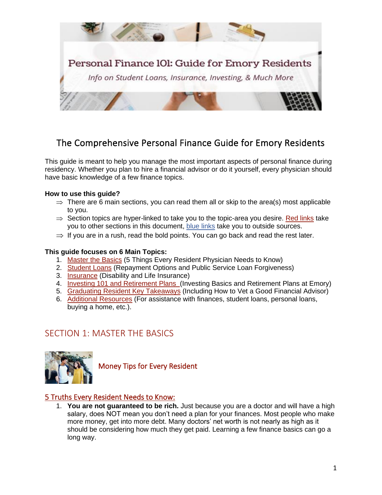

# The Comprehensive Personal Finance Guide for Emory Residents

This guide is meant to help you manage the most important aspects of personal finance during residency. Whether you plan to hire a financial advisor or do it yourself, every physician should have basic knowledge of a few finance topics.

## **How to use this guide?**

- $\Rightarrow$  There are 6 main sections, you can read them all or skip to the area(s) most applicable to you.
- $\Rightarrow$  Section topics are hyper-linked to take you to the topic-area you desire. Red links take you to other sections in this document, blue links take you to outside sources.
- $\Rightarrow$  If you are in a rush, read the bold points. You can go back and read the rest later.

## **This guide focuses on 6 Main Topics:**

- 1. [Master the Basics](#page-0-0) (5 Things Every Resident Physician Needs to Know)
- 2. [Student Loans](#page-1-0) (Repayment Options and Public Service Loan Forgiveness)
- 3. [Insurance](#page-4-0) (Disability and Life Insurance)
- 4. [Investing 101 and Retirement Plans](#page-7-0) (Investing Basics and Retirement Plans at Emory)
- 5. [Graduating Resident Key Takeaways](#page-10-0) (Including How to Vet a Good Financial Advisor)
- 6. [Additional Resources](#page-14-0) (For assistance with finances, student loans, personal loans, buying a home, etc.).

# <span id="page-0-0"></span>SECTION 1: MASTER THE BASICS



Money Tips for Every Resident

# 5 Truths Every Resident Needs to Know:

1. **You are not guaranteed to be rich.** Just because you are a doctor and will have a high salary, does NOT mean you don't need a plan for your finances. Most people who make more money, get into more debt. Many doctors' net worth is not nearly as high as it should be considering how much they get paid. Learning a few finance basics can go a long way.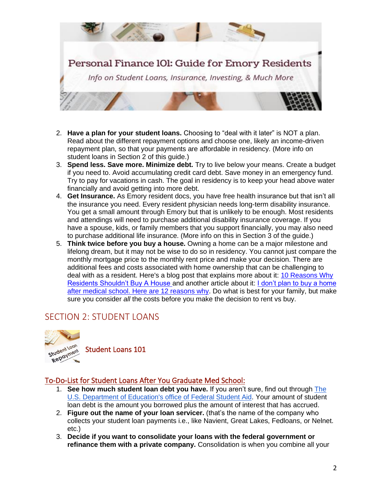

- 2. **Have a plan for your student loans.** Choosing to "deal with it later" is NOT a plan. Read about the different repayment options and choose one, likely an income-driven repayment plan, so that your payments are affordable in residency. (More info on student loans in Section 2 of this guide.)
- 3. **Spend less. Save more. Minimize debt.** Try to live below your means. Create a budget if you need to. Avoid accumulating credit card debt. Save money in an emergency fund. Try to pay for vacations in cash. The goal in residency is to keep your head above water financially and avoid getting into more debt.
- 4. **Get Insurance.** As Emory resident docs, you have free health insurance but that isn't all the insurance you need. Every resident physician needs long-term disability insurance. You get a small amount through Emory but that is unlikely to be enough. Most residents and attendings will need to purchase additional disability insurance coverage. If you have a spouse, kids, or family members that you support financially, you may also need to purchase additional life insurance. (More info on this in Section 3 of the guide.)
- <span id="page-1-0"></span>5. **Think twice before you buy a house.** Owning a home can be a major milestone and lifelong dream, but it may not be wise to do so in residency. You cannot just compare the monthly mortgage price to the monthly rent price and make your decision. There are additional fees and costs associated with home ownership that can be challenging to deal with as a resident. Here's a blog post that explains more about it: 10 Reasons Why [Residents Shouldn't Buy A House](https://www.whitecoatinvestor.com/10-reasons-why-residents-shouldnt-buy-a-house/) and another article about it: [I don't plan to buy a home](https://www.kevinmd.com/blog/2019/03/i-dont-plan-to-buy-a-home-after-medical-school-here-are-12-reasons-why.html)  [after medical school. Here are 12 reasons why.](https://www.kevinmd.com/blog/2019/03/i-dont-plan-to-buy-a-home-after-medical-school-here-are-12-reasons-why.html) Do what is best for your family, but make sure you consider *all* the costs before you make the decision to rent vs buy.

# SECTION 2: STUDENT LOANS



Student Loans 101

# To-Do-List for Student Loans After You Graduate Med School:

- 1. **See how much student loan debt you have.** If you aren't sure, find out through [The](https://studentaid.gov/)  [U.S. Department of Education's office of Federal Student Aid.](https://studentaid.gov/) Your amount of student loan debt is the amount you borrowed plus the amount of interest that has accrued.
- 2. **Figure out the name of your loan servicer.** (that's the name of the company who collects your student loan payments i.e., like Navient, Great Lakes, Fedloans, or Nelnet. etc.)
- 3. **Decide if you want to consolidate your loans with the federal government or refinance them with a private company.** Consolidation is when you combine all your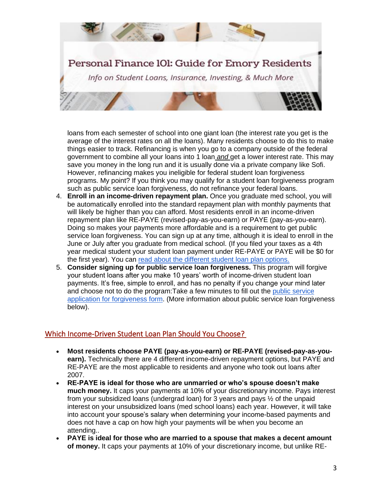

loans from each semester of school into one giant loan (the interest rate you get is the average of the interest rates on all the loans). Many residents choose to do this to make things easier to track. Refinancing is when you go to a company outside of the federal government to combine all your loans into 1 loan *and* get a lower interest rate. This may save you money in the long run and it is usually done via a private company like Sofi. However, refinancing makes you ineligible for federal student loan forgiveness programs. My point? If you think you may qualify for a student loan forgiveness program such as public service loan forgiveness, do not refinance your federal loans.

- 4. **Enroll in an income-driven repayment plan.** Once you graduate med school, you will be automatically enrolled into the standard repayment plan with monthly payments that will likely be higher than you can afford. Most residents enroll in an income-driven repayment plan like RE-PAYE (revised-pay-as-you-earn) or PAYE (pay-as-you-earn). Doing so makes your payments more affordable and is a requirement to get public service loan forgiveness. You can sign up at any time, although it is ideal to enroll in the June or July after you graduate from medical school. (If you filed your taxes as a 4th year medical student your student loan payment under RE-PAYE or PAYE will be \$0 for the first year). You can [read about the different student loan plan options.](https://studentaid.gov/manage-loans/repayment/plans/income-driven)
- 5. **Consider signing up for public service loan forgiveness.** This program will forgive your student loans after you make 10 years' worth of income-driven student loan payments. It's free, simple to enroll, and has no penalty if you change your mind later and choose not to do the program:Take a few minutes to fill out the [public service](https://studentaid.gov/sites/default/files/public-service-application-for-forgiveness.pdf)  [application for forgiveness form.](https://studentaid.gov/sites/default/files/public-service-application-for-forgiveness.pdf) (More information about public service loan forgiveness below).

# Which Income-Driven Student Loan Plan Should You Choose?

- **Most residents choose PAYE (pay-as-you-earn) or RE-PAYE (revised-pay-as-youearn).** Technically there are 4 different income-driven repayment options, but PAYE and RE-PAYE are the most applicable to residents and anyone who took out loans after 2007.
- **RE-PAYE is ideal for those who are unmarried or who's spouse doesn't make much money.** It caps your payments at 10% of your discretionary income. Pays interest from your subsidized loans (undergrad loan) for 3 years and pays ½ of the unpaid interest on your unsubsidized loans (med school loans) each year. However, it will take into account your spouse's salary when determining your income-based payments and does not have a cap on how high your payments will be when you become an attending..
- **PAYE is ideal for those who are married to a spouse that makes a decent amount of money.** It caps your payments at 10% of your discretionary income, but unlike RE-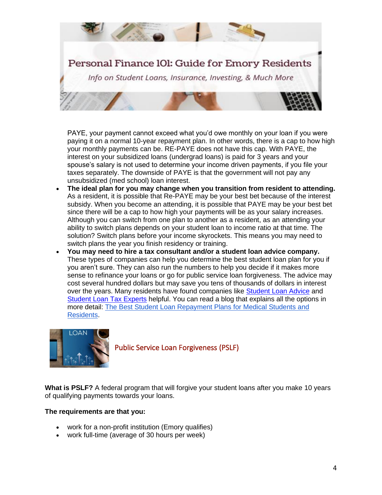

PAYE, your payment cannot exceed what you'd owe monthly on your loan if you were paying it on a normal 10-year repayment plan. In other words, there is a cap to how high your monthly payments can be. RE-PAYE does not have this cap. With PAYE, the interest on your subsidized loans (undergrad loans) is paid for 3 years and your spouse's salary is not used to determine your income driven payments, if you file your taxes separately. The downside of PAYE is that the government will not pay any unsubsidized (med school) loan interest.

- **The ideal plan for you may change when you transition from resident to attending.** As a resident, it is possible that Re-PAYE may be your best bet because of the interest subsidy. When you become an attending, it is possible that PAYE may be your best bet since there will be a cap to how high your payments will be as your salary increases. Although you can switch from one plan to another as a resident, as an attending your ability to switch plans depends on your student loan to income ratio at that time. The solution? Switch plans before your income skyrockets. This means you may need to switch plans the year you finish residency or training.
- **You may need to hire a tax consultant and/or a student loan advice company.** These types of companies can help you determine the best student loan plan for you if you aren't sure. They can also run the numbers to help you decide if it makes more sense to refinance your loans or go for public service loan forgiveness. The advice may cost several hundred dollars but may save you tens of thousands of dollars in interest over the years. Many residents have found companies like [Student Loan Advice](https://studentloanadvice.com/partner/emory-residency/) and [Student Loan Tax Experts](https://studentloantaxexperts.com/services/) helpful. You can read a blog that explains all the options in more detail: [The Best Student Loan Repayment Plans for Medical Students and](https://www.careermoneymoves.com/blog/2019/4/2/the-best-student-loan-repayment-plans-for-medical-students-and-residents)  [Residents.](https://www.careermoneymoves.com/blog/2019/4/2/the-best-student-loan-repayment-plans-for-medical-students-and-residents)



Public Service Loan Forgiveness (PSLF)

**What is PSLF?** A federal program that will forgive your student loans after you make 10 years of qualifying payments towards your loans.

# **The requirements are that you:**

- work for a non-profit institution (Emory qualifies)
- work full-time (average of 30 hours per week)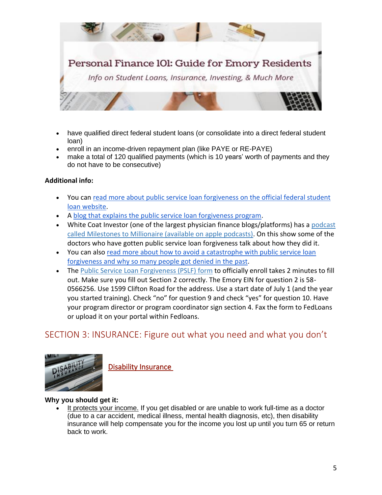

- have qualified direct federal student loans (or consolidate into a direct federal student loan)
- enroll in an income-driven repayment plan (like PAYE or RE-PAYE)
- make a total of 120 qualified payments (which is 10 years' worth of payments and they do not have to be consecutive)

# **Additional info:**

- You can [read more about public service loan forgiveness on the official federal student](https://studentaid.gov/manage-loans/forgiveness-cancellation/public-service#full-time-employment)  [loan website.](https://studentaid.gov/manage-loans/forgiveness-cancellation/public-service#full-time-employment)
- A [blog that explains the public service loan forgiveness program.](https://www.careermoneymoves.com/blog/2019/4/7/trying-to-get-your-student-loans-forgiven-consider-for-public-service-loan-forgiveness)
- White Coat Investor (one of the largest physician finance blogs/platforms) has a podcast [called Milestones to Millionaire \(available on apple podcasts\).](https://www.whitecoatinvestor.com/milestonestomillionaire/) On this show some of the doctors who have gotten public service loan forgiveness talk about how they did it.
- You can also [read more about how to avoid a catastrophe with public service loan](https://www.whitecoatinvestor.com/how-to-avoid-a-pslf-catastrophe/)  [forgiveness and why so many people got denied in the past.](https://www.whitecoatinvestor.com/how-to-avoid-a-pslf-catastrophe/)
- The [Public Service Loan Forgiveness \(PSLF\) form](https://studentaid.gov/sites/default/files/public-service-application-for-forgiveness.pdf) to officially enroll takes 2 minutes to fill out. Make sure you fill out Section 2 correctly. The Emory EIN for question 2 is 58- 0566256. Use 1599 Clifton Road for the address. Use a start date of July 1 (and the year you started training). Check "no" for question 9 and check "yes" for question 10. Have your program director or program coordinator sign section 4. Fax the form to FedLoans or upload it on your portal within Fedloans.

# SECTION 3: INSURANCE: Figure out what you need and what you don't



<span id="page-4-0"></span>Disability Insurance

# **Why you should get it:**

• It protects your income. If you get disabled or are unable to work full-time as a doctor (due to a car accident, medical illness, mental health diagnosis, etc), then disability insurance will help compensate you for the income you lost up until you turn 65 or return back to work.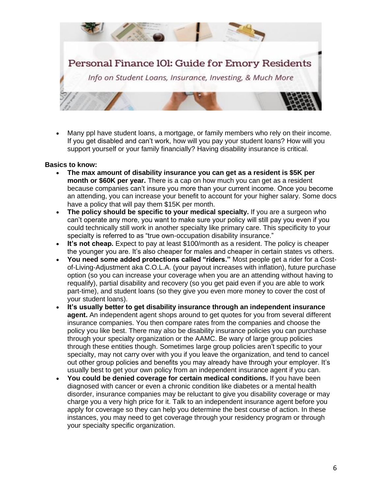

• Many ppl have student loans, a mortgage, or family members who rely on their income. If you get disabled and can't work, how will you pay your student loans? How will you support yourself or your family financially? Having disability insurance is critical.

#### **Basics to know:**

- **The max amount of disability insurance you can get as a resident is \$5K per month or \$60K per year.** There is a cap on how much you can get as a resident because companies can't insure you more than your current income. Once you become an attending, you can increase your benefit to account for your higher salary. Some docs have a policy that will pay them \$15K per month.
- **The policy should be specific to your medical specialty.** If you are a surgeon who can't operate any more, you want to make sure your policy will still pay you even if you could technically still work in another specialty like primary care. This specificity to your specialty is referred to as "true own-occupation disability insurance."
- **It's not cheap.** Expect to pay at least \$100/month as a resident. The policy is cheaper the younger you are. It's also cheaper for males and cheaper in certain states vs others.
- **You need some added protections called "riders."** Most people get a rider for a Costof-Living-Adjustment aka C.O.L.A. (your payout increases with inflation), future purchase option (so you can increase your coverage when you are an attending without having to requalify), partial disability and recovery (so you get paid even if you are able to work part-time), and student loans (so they give you even more money to cover the cost of your student loans).
- **It's usually better to get disability insurance through an independent insurance agent.** An independent agent shops around to get quotes for you from several different insurance companies. You then compare rates from the companies and choose the policy you like best. There may also be disability insurance policies you can purchase through your specialty organization or the AAMC. Be wary of large group policies through these entities though. Sometimes large group policies aren't specific to your specialty, may not carry over with you if you leave the organization, and tend to cancel out other group policies and benefits you may already have through your employer. It's usually best to get your own policy from an independent insurance agent if you can.
- **You could be denied coverage for certain medical conditions.** If you have been diagnosed with cancer or even a chronic condition like diabetes or a mental health disorder, insurance companies may be reluctant to give you disability coverage or may charge you a very high price for it. Talk to an independent insurance agent before you apply for coverage so they can help you determine the best course of action. In these instances, you may need to get coverage through your residency program or through your specialty specific organization.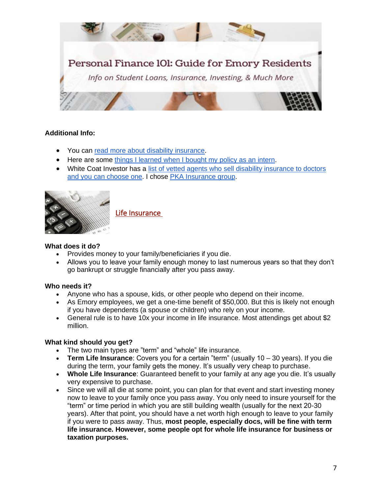

## **Additional Info:**

- You can [read more about disability insurance.](https://www.whitecoatinvestor.com/individual-disability-insurance-basics/)
- Here are some [things I learned when I bought my policy as an intern.](https://www.kevinmd.com/blog/2019/06/9-things-i-learned-when-purchasing-disability-insurance.html)
- White Coat Investor has a list of vetted agents who sell disability insurance to doctors [and you can choose one.](https://www.whitecoatinvestor.com/websites-2/insurance/) I chose [PKA Insurance group.](https://pkainsurance.com/)



Life Insurance

## **What does it do?**

- Provides money to your family/beneficiaries if you die.
- Allows you to leave your family enough money to last numerous years so that they don't go bankrupt or struggle financially after you pass away.

# **Who needs it?**

- Anyone who has a spouse, kids, or other people who depend on their income.
- As Emory employees, we get a one-time benefit of \$50,000. But this is likely not enough if you have dependents (a spouse or children) who rely on your income.
- General rule is to have 10x your income in life insurance. Most attendings get about \$2 million.

## **What kind should you get?**

- The two main types are "term" and "whole" life insurance.
- **Term Life Insurance**: Covers you for a certain "term" (usually 10 30 years). If you die during the term, your family gets the money. It's usually very cheap to purchase.
- **Whole Life Insurance**: Guaranteed benefit to your family at any age you die. It's usually very expensive to purchase.
- Since we will all die at some point, you can plan for that event and start investing money now to leave to your family once you pass away. You only need to insure yourself for the "term" or time period in which you are still building wealth (usually for the next 20-30 years). After that point, you should have a net worth high enough to leave to your family if you were to pass away. Thus, **most people, especially docs, will be fine with term life insurance. However, some people opt for whole life insurance for business or taxation purposes.**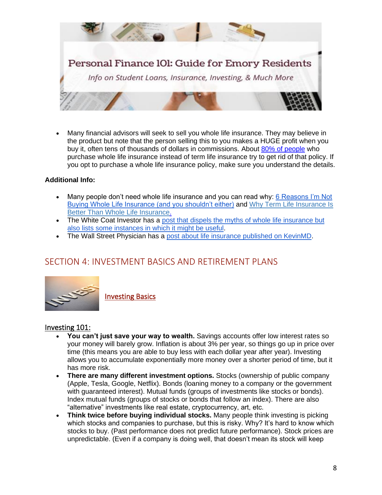

• Many financial advisors will seek to sell you whole life insurance. They may believe in the product but note that the person selling this to you makes a HUGE profit when you buy it, often tens of thousands of dollars in commissions. About [80% of people](https://www.whitecoatinvestor.com/the-statistic-whole-life-salesmen-dont-want-you-to-know/) who purchase whole life insurance instead of term life insurance try to get rid of that policy. If you opt to purchase a whole life insurance policy, make sure you understand the details.

## **Additional Info:**

- Many people don't need whole life insurance and you can read why: 6 Reasons I'm Not [Buying Whole Life Insurance \(and you shouldn't either\)](https://www.careermoneymoves.com/blog/2019/7/28/6-reasons-im-not-buying-whole-life-insurance-and-you-shouldnt-either) and [Why Term Life Insurance Is](https://thecollegeinvestor.com/2048/term-life-insurance/)  [Better Than Whole Life Insurance.](https://thecollegeinvestor.com/2048/term-life-insurance/)
- The White Coat Investor has a post that dispels the myths of whole life insurance but [also lists some instances in which it might be useful.](https://www.whitecoatinvestor.com/what-you-need-to-know-about-whole-life-insurance/)
- The Wall Street Physician has a [post about life insurance published on KevinMD.](https://www.kevinmd.com/blog/2018/01/physicians-guide-life-insurance.html)

# <span id="page-7-0"></span>SECTION 4: INVESTMENT BASICS AND RETIREMENT PLANS



Investing Basics

# Investing 101:

- **You can't just save your way to wealth.** Savings accounts offer low interest rates so your money will barely grow. Inflation is about 3% per year, so things go up in price over time (this means you are able to buy less with each dollar year after year). Investing allows you to accumulate exponentially more money over a shorter period of time, but it has more risk.
- **There are many different investment options.** Stocks (ownership of public company (Apple, Tesla, Google, Netflix). Bonds (loaning money to a company or the government with guaranteed interest). Mutual funds (groups of investments like stocks or bonds). Index mutual funds (groups of stocks or bonds that follow an index). There are also "alternative" investments like real estate, cryptocurrency, art, etc.
- **Think twice before buying individual stocks.** Many people think investing is picking which stocks and companies to purchase, but this is risky. Why? It's hard to know which stocks to buy. (Past performance does not predict future performance). Stock prices are unpredictable. (Even if a company is doing well, that doesn't mean its stock will keep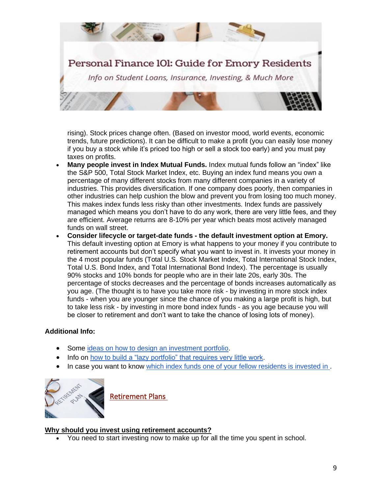

rising). Stock prices change often. (Based on investor mood, world events, economic trends, future predictions). It can be difficult to make a profit (you can easily lose money if you buy a stock while it's priced too high or sell a stock too early) and you must pay taxes on profits.

- **Many people invest in Index Mutual Funds.** Index mutual funds follow an "index" like the S&P 500, Total Stock Market Index, etc. Buying an index fund means you own a percentage of many different stocks from many different companies in a variety of industries. This provides diversification. If one company does poorly, then companies in other industries can help cushion the blow and prevent you from losing too much money. This makes index funds less risky than other investments. Index funds are passively managed which means you don't have to do any work, there are very little fees, and they are efficient. Average returns are 8-10% per year which beats most actively managed funds on wall street.
- **Consider lifecycle or target-date funds - the default investment option at Emory.** This default investing option at Emory is what happens to your money if you contribute to retirement accounts but don't specify what you want to invest in. It invests your money in the 4 most popular funds (Total U.S. Stock Market Index, Total International Stock Index, Total U.S. Bond Index, and Total International Bond Index). The percentage is usually 90% stocks and 10% bonds for people who are in their late 20s, early 30s. The percentage of stocks decreases and the percentage of bonds increases automatically as you age. (The thought is to have you take more risk - by investing in more stock index funds - when you are younger since the chance of you making a large profit is high, but to take less risk - by investing in more bond index funds - as you age because you will be closer to retirement and don't want to take the chance of losing lots of money).

## **Additional Info:**

- Some [ideas on how to design an investment portfolio.](https://www.whitecoatinvestor.com/designing-your-portfolio-part-5-putting-together-the-asset-allocation/)
- Info on how [to build a "lazy portfolio" that requires very little work.](https://www.bogleheads.org/wiki/How_to_build_a_lazy_portfolio)
- In case you want to know which index funds one of your fellow residents is invested in.



Retirement Plans

## **Why should you invest using retirement accounts?**

• You need to start investing now to make up for all the time you spent in school.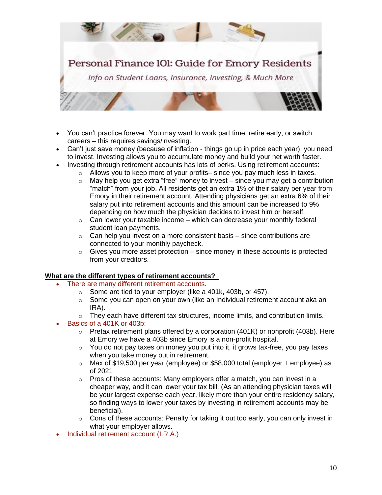

- You can't practice forever. You may want to work part time, retire early, or switch careers – this requires savings/investing.
- Can't just save money (because of inflation things go up in price each year), you need to invest. Investing allows you to accumulate money and build your net worth faster.
- Investing through retirement accounts has lots of perks. Using retirement accounts:
	- $\circ$  Allows you to keep more of your profits– since you pay much less in taxes.
	- $\circ$  May help you get extra "free" money to invest since you may get a contribution "match" from your job. All residents get an extra 1% of their salary per year from Emory in their retirement account. Attending physicians get an extra 6% of their salary put into retirement accounts and this amount can be increased to 9% depending on how much the physician decides to invest him or herself.
	- $\circ$  Can lower your taxable income which can decrease your monthly federal student loan payments.
	- $\circ$  Can help you invest on a more consistent basis since contributions are connected to your monthly paycheck.
	- $\circ$  Gives you more asset protection since money in these accounts is protected from your creditors.

## **What are the different types of retirement accounts?**

- There are many different retirement accounts.
	- o Some are tied to your employer (like a 401k, 403b, or 457).
	- o Some you can open on your own (like an Individual retirement account aka an IRA).
	- $\circ$  They each have different tax structures, income limits, and contribution limits.
- Basics of a 401K or 403b:
	- $\circ$  Pretax retirement plans offered by a corporation (401K) or nonprofit (403b). Here at Emory we have a 403b since Emory is a non-profit hospital.
	- o You do not pay taxes on money you put into it, it grows tax-free, you pay taxes when you take money out in retirement.
	- $\circ$  Max of \$19,500 per year (employee) or \$58,000 total (employer + employee) as of 2021
	- $\circ$  Pros of these accounts: Many employers offer a match, you can invest in a cheaper way, and it can lower your tax bill. (As an attending physician taxes will be your largest expense each year, likely more than your entire residency salary, so finding ways to lower your taxes by investing in retirement accounts may be beneficial).
	- $\circ$  Cons of these accounts: Penalty for taking it out too early, you can only invest in what your employer allows.
- Individual retirement account (I.R.A.)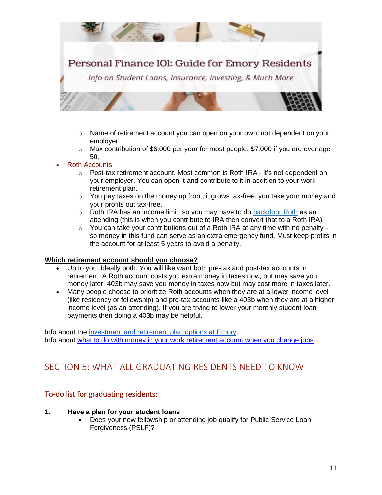

- $\circ$  Name of retirement account you can open on your own, not dependent on your employer
- $\circ$  Max contribution of \$6,000 per year for most people, \$7,000 if you are over age 50.
- **Roth Accounts** 
	- o Post-tax retirement account. Most common is Roth IRA it's not dependent on your employer. You can open it and contribute to it in addition to your work retirement plan.
	- $\circ$  You pay taxes on the money up front, it grows tax-free, you take your money and your profits out tax-free.
	- $\circ$  Roth IRA has an income limit, so you may have to do [backdoor Roth](https://www.whitecoatinvestor.com/backdoor-roth-ira-tutorial/) as an attending (this is when you contribute to IRA then convert that to a Roth IRA)
	- $\circ$  You can take your contributions out of a Roth IRA at any time with no penalty so money in this fund can serve as an extra emergency fund. Must keep profits in the account for at least 5 years to avoid a penalty.

#### **Which retirement account should you choose?**

- Up to you. Ideally both. You will like want both pre-tax and post-tax accounts in retirement. A Roth account costs you extra money in taxes now, but may save you money later. 403b may save you money in taxes now but may cost more in taxes later.
- Many people choose to prioritize Roth accounts when they are at a lower income level (like residency or fellowship) and pre-tax accounts like a 403b when they are at a higher income level (as an attending). If you are trying to lower your monthly student loan payments then doing a 403b may be helpful.

<span id="page-10-0"></span>Info about the [investment and retirement plan options at Emory.](https://www.hr.emory.edu/eu/_includes/documents/sections/benefits/discover-your-options-guide.pdf) Info about [what to do with money in your work retirement account when you change jobs.](https://www.careermoneymoves.com/blog/2021/7/10/what-to-do-with-work-retirement-accounts-when-you-change-jobs)

# SECTION 5: WHAT ALL GRADUATING RESIDENTS NEED TO KNOW

# To-do list for graduating residents:

#### **1. Have a plan for your student loans**

• Does your new fellowship or attending job qualify for Public Service Loan Forgiveness (PSLF)?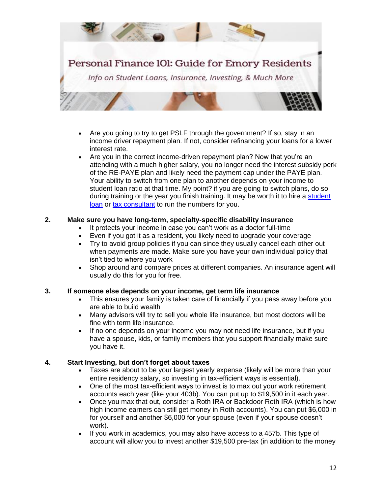

- Are you going to try to get PSLF through the government? If so, stay in an income driver repayment plan. If not, consider refinancing your loans for a lower interest rate.
- Are you in the correct income-driven repayment plan? Now that you're an attending with a much higher salary, you no longer need the interest subsidy perk of the RE-PAYE plan and likely need the payment cap under the PAYE plan. Your ability to switch from one plan to another depends on your income to student loan ratio at that time. My point? if you are going to switch plans, do so during training or the year you finish training. It may be worth it to hire a student [loan](https://studentloanadvice.com/partner/emory-residency/) or [tax consultant](https://studentloantaxexperts.com/services/) to run the numbers for you.

## **2. Make sure you have long-term, specialty-specific disability insurance**

- It protects your income in case you can't work as a doctor full-time
- Even if you got it as a resident, you likely need to upgrade your coverage
- Try to avoid group policies if you can since they usually cancel each other out when payments are made. Make sure you have your own individual policy that isn't tied to where you work
- Shop around and compare prices at different companies. An insurance agent will usually do this for you for free.

# **3. If someone else depends on your income, get term life insurance**

- This ensures your family is taken care of financially if you pass away before you are able to build wealth
- Many advisors will try to sell you whole life insurance, but most doctors will be fine with term life insurance.
- If no one depends on your income you may not need life insurance, but if you have a spouse, kids, or family members that you support financially make sure you have it.

# **4. Start Investing, but don't forget about taxes**

- Taxes are about to be your largest yearly expense (likely will be more than your entire residency salary, so investing in tax-efficient ways is essential).
- One of the most tax-efficient ways to invest is to max out your work retirement accounts each year (like your 403b). You can put up to \$19,500 in it each year.
- Once you max that out, consider a Roth IRA or Backdoor Roth IRA (which is how high income earners can still get money in Roth accounts). You can put \$6,000 in for yourself and another \$6,000 for your spouse (even if your spouse doesn't work).
- If you work in academics, you may also have access to a 457b. This type of account will allow you to invest another \$19,500 pre-tax (in addition to the money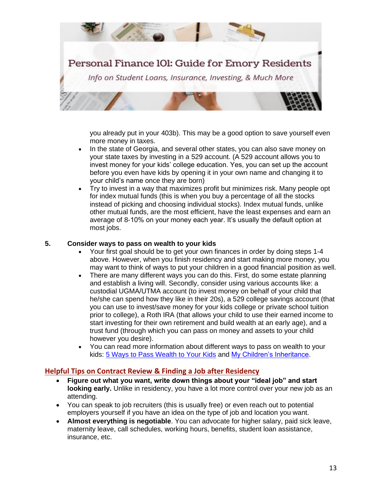

you already put in your 403b). This may be a good option to save yourself even more money in taxes.

- In the state of Georgia, and several other states, you can also save money on your state taxes by investing in a 529 account. (A 529 account allows you to invest money for your kids' college education. Yes, you can set up the account before you even have kids by opening it in your own name and changing it to your child's name once they are born)
- Try to invest in a way that maximizes profit but minimizes risk. Many people opt for index mutual funds (this is when you buy a percentage of all the stocks instead of picking and choosing individual stocks). Index mutual funds, unlike other mutual funds, are the most efficient, have the least expenses and earn an average of 8-10% on your money each year. It's usually the default option at most jobs.

### **5. Consider ways to pass on wealth to your kids**

- Your first goal should be to get your own finances in order by doing steps 1-4 above. However, when you finish residency and start making more money, you may want to think of ways to put your children in a good financial position as well.
- There are many different ways you can do this. First, do some estate planning and establish a living will. Secondly, consider using various accounts like: a custodial UGMA/UTMA account (to invest money on behalf of your child that he/she can spend how they like in their 20s), a 529 college savings account (that you can use to invest/save money for your kids college or private school tuition prior to college), a Roth IRA (that allows your child to use their earned income to start investing for their own retirement and build wealth at an early age), and a trust fund (through which you can pass on money and assets to your child however you desire).
- You can read more information about different ways to pass on wealth to your kids: [5 Ways to Pass Wealth to Your Kids](https://www.careermoneymoves.com/blog/2021/6/6/5-ways-to-pass-wealth-to-your-kids) and [My Children's Inheritance.](https://www.whitecoatinvestor.com/my-childrens-inheritance/)

## **Helpful Tips on Contract Review & Finding a Job after Residency**

- **Figure out what you want, write down things about your "ideal job" and start looking early.** Unlike in residency, you have a lot more control over your new job as an attending.
- You can speak to job recruiters (this is usually free) or even reach out to potential employers yourself if you have an idea on the type of job and location you want.
- **Almost everything is negotiable**. You can advocate for higher salary, paid sick leave, maternity leave, call schedules, working hours, benefits, student loan assistance, insurance, etc.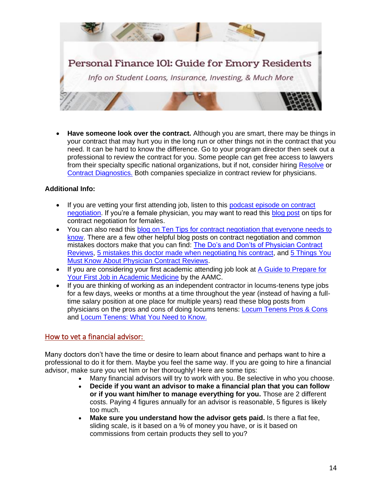

• **Have someone look over the contract.** Although you are smart, there may be things in your contract that may hurt you in the long run or other things not in the contract that you need. It can be hard to know the difference. Go to your program director then seek out a professional to review the contract for you. Some people can get free access to lawyers from their specialty specific national organizations, but if not, consider hiring [Resolve](https://www.resolve.net/) or [Contract Diagnostics.](https://www.contractdiagnostics.com/career-money-moves/) Both companies specialize in contract review for physicians.

## **Additional Info:**

- If you are vetting your first attending job, listen to this podcast episode on contract [negotiation.](https://www.youtube.com/watch?v=d883AMQL_LM) If you're a female physician, you may want to read this [blog post](https://mommd.com/keys-to-negotiating-a-contract-for-female-physicians/) on tips for contract negotiation for females.
- You can also read this blog on Ten Tips for contract negotiation that everyone needs to [know.](https://www.whitecoatinvestor.com/contract-negotiation-ten-tips-from-the-trenches/) There are a few other helpful blog posts on contract negotiation and common mistakes doctors make that you can find: [The Do's and Don'ts of Physician Contract](https://thephysicianphilosopher.com/the-dos-and-donts-of-physician-contract-reviews/)  [Reviews,](https://thephysicianphilosopher.com/the-dos-and-donts-of-physician-contract-reviews/) [5 mistakes this doctor made when negotiating his contract,](https://www.kevinmd.com/blog/2018/02/5-mistakes-doctor-made-negotiating-contract.html) and [5 Things You](https://thephysicianphilosopher.com/guides/5-things-you-must-know-about-physician-contract-reviews/)  [Must Know About Physician Contract Reviews.](https://thephysicianphilosopher.com/guides/5-things-you-must-know-about-physician-contract-reviews/)
- If you are considering your first academic attending job look at A Guide to Prepare for [Your First Job in Academic Medicine](https://www.aamc.org/media/23616/download) by the AAMC.
- If you are thinking of working as an independent contractor in locums-tenens type jobs for a few days, weeks or months at a time throughout the year (instead of having a fulltime salary position at one place for multiple years) read these blog posts from physicians on the pros and cons of doing locums tenens: [Locum Tenens Pros & Cons](https://www.physicianonfire.com/locumspros/) and [Locum Tenens: What You Need to Know.](https://www.whitecoatinvestor.com/locum-tenens/)

# How to vet a financial advisor:

Many doctors don't have the time or desire to learn about finance and perhaps want to hire a professional to do it for them. Maybe you feel the same way. If you are going to hire a financial advisor, make sure you vet him or her thoroughly! Here are some tips:

- Many financial advisors will try to work with you. Be selective in who you choose.
- **Decide if you want an advisor to make a financial plan that you can follow or if you want him/her to manage everything for you.** Those are 2 different costs. Paying 4 figures annually for an advisor is reasonable, 5 figures is likely too much.
- **Make sure you understand how the advisor gets paid.** Is there a flat fee, sliding scale, is it based on a % of money you have, or is it based on commissions from certain products they sell to you?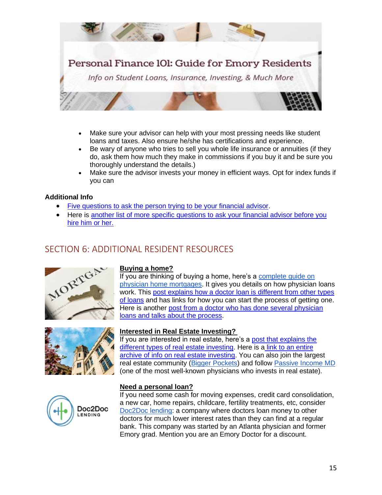

- Make sure your advisor can help with your most pressing needs like student loans and taxes. Also ensure he/she has certifications and experience.
- Be wary of anyone who tries to sell you whole life insurance or annuities (if they do, ask them how much they make in commissions if you buy it and be sure you thoroughly understand the details.)
- Make sure the advisor invests your money in efficient ways. Opt for index funds if you can

## **Additional Info**

- [Five questions to ask the person trying to be your financial advisor.](https://www.kevinmd.com/blog/2020/11/5-questions-to-ask-before-you-hire-a-financial-advisor.html)
- Here is another list of more specific questions to ask your financial advisor before you [hire him or her.](https://www.whitecoatinvestor.com/questions-to-ask-when-hiring-a-financial-adviser/)

# <span id="page-14-0"></span>SECTION 6: ADDITIONAL RESIDENT RESOURCES





#### **Buying a home?**

If you are thinking of buying a home, here's a [complete guide on](https://www.whitecoatinvestor.com/personal-finance/the-doctor-mortgage-loan/)  [physician home mortgages.](https://www.whitecoatinvestor.com/personal-finance/the-doctor-mortgage-loan/) It gives you details on how physician loans work. This [post explains how a doctor loan is different from other types](https://www.whitecoatinvestor.com/personal-finance/the-doctor-mortgage-loan/)  [of loans](https://www.whitecoatinvestor.com/personal-finance/the-doctor-mortgage-loan/) and has links for how you can start the process of getting one. Here is another [post from a doctor who has done several physician](https://passiveincomemd.com/the-doctor-loan-my-experiences-buying-and-building-with-physician-mortgage-loans/)  [loans and talks about the process.](https://passiveincomemd.com/the-doctor-loan-my-experiences-buying-and-building-with-physician-mortgage-loans/)

# **Interested in Real Estate Investing?**

If you are interested in real estate, here's a [post that explains the](https://www.careermoneymoves.com/blog/2019/2/7/7-main-types-of-real-estate-investing)  [different types of real estate investing.](https://www.careermoneymoves.com/blog/2019/2/7/7-main-types-of-real-estate-investing) Here is a link to an entire archive of info [on real estate investing.](https://passiveincomemd.com/category/personal-finance-budgeting/investing/real-estate/) You can also join the largest real estate community [\(Bigger Pockets\)](https://www.biggerpockets.com/) and follow [Passive Income MD](https://passiveincomemd.com/) (one of the most well-known physicians who invests in real estate).



#### **Need a personal loan?**

If you need some cash for moving expenses, credit card consolidation, a new car, home repairs, childcare, fertility treatments, etc, consider [Doc2Doc lending:](https://doc2doclending.com/emory/) a company where doctors loan money to other doctors for much lower interest rates than they can find at a regular bank. This company was started by an Atlanta physician and former Emory grad. Mention you are an Emory Doctor for a discount.